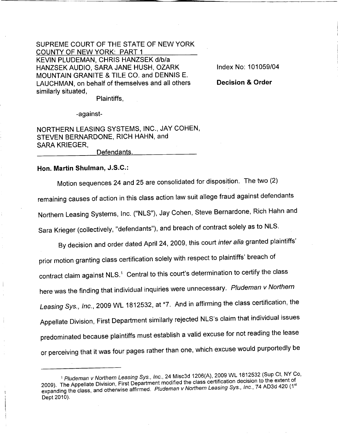SUPREME COURT OF THE STATE OF NEW YORK COUNTY OF NEW YORK: PART 1 KEVIN PLUDEMAN, CHRIS HANZSEK d/b/a HANZSEK AUDIO, SARA JANE HUSH, OZARK MOUNTAIN GRANITE & TILE CO. and DENNIS E. LAUCHMAN, on behalf of themselves and all others similarly situated,

Index No: 101059/04

**Decision & Order**

Plaintiffs,

-against-

NORTHERN LEASING SYSTEMS, INC., JAY COHEN, STEVEN BERNARDONE, RICH HAHN, and SARA KRIEGER, Defendants.

**Han. Martin Shulman,** J.S.C.:

Motion sequences 24 and 25 are consolidated for disposition. The two (2) remaining causes of action in this class action law suit allege fraud against defendants Northern Leasing Systems, Inc. ("NLS"), Jay Cohen, Steve Bernardone, Rich Hahn and Sara Krieger (collectively, "defendants"), and breach of contract solely as to NLS.

By decision and order dated April 24, 2009, this court *inter alia* granted plaintiffs' prior motion granting class certification solely with respect to plaintiffs' breach of contract claim against NLS.<sup>1</sup> Central to this court's determination to certify the class here was the finding that individual inquiries were unnecessary. *Pludeman* v *Northern Leasing* Sys., *Inc.,* 2009 WL 1812532, at \*7. And in affirming the class certification, the Appellate Division, First Department similarly rejected NLS's claim that individual issues predominated because plaintiffs must establish a valid excuse for not reading the lease or perceiving that it was four pages rather than one, which excuse would purportedly be

<sup>1</sup> *Pludeman v Northern Leasing* Sys., *Inc.,* 24 Misc3d 1206(A). 2009 WL 1812532 (Sup Ct, NY Co, 2009). The Appellate Division, First Department modified the class certification decision to the extert of expanding the class, and otherwise affirmed. *Pludeman v Northern Leasing* Sys., *Inc.,* 74 AD3d 420 (1 Dept 2010).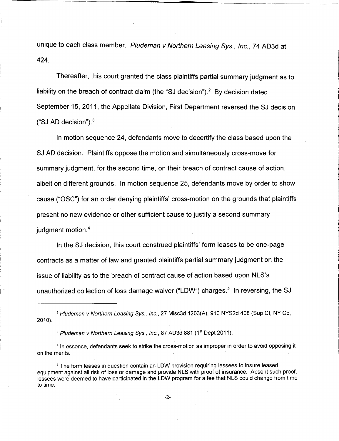unique to each class member. *Pludeman v Northern Leasing Sys., Inc.,* 74 AD 3d at 424.

Thereafter, this court granted the class plaintiffs partial summary judgment as to liability on the breach of contract claim (the "SJ decision").<sup>2</sup> By decision dated September 15, 2011, the Appellate Division, First Department reversed the SJ decision  $("SJ AD decision").$ <sup>3</sup>

In motion sequence 24, defendants move to decertify the class based upon the SJ AD decision. Plaintiffs oppose the motion and simultaneously cross-move for summary judgment, for the second time, on their breach of contract cause of action; albeit on different grounds. In motion sequence 25, defendants move by order to show cause ("OSC") for an order denying plaintiffs' cross-motion on the grounds that plaintiffs present no new evidence or other sufficient cause to justify a second summary judgment motion.<sup>4</sup>

In the SJ decision, this court construed plaintiffs' form leases to be one-page contracts as a matter of law and granted plaintiffs partial summary judgment on the issue of liability as to the breach of contract cause of action based upon NLS's unauthorized collection of loss damage waiver ("LDW") charges.<sup>5</sup> In reversing, the SJ

<sup>2</sup> *Pludeman* v *Northern Leasing* Sys., *Inc.,* 27 Misc3d 1203(A), 910 NYS2d 408 (Sup Ct, NY Co, 2010).

<sup>3</sup> Pludeman v Northern Leasing Sys., Inc., 87 AD3d 881 (1<sup>st</sup> Dept 2011).

<sup>4</sup> In essence, defendants seek to strike the cross-motion as improper in order to avoid opposing it on the merits.

<sup>5</sup> The form leases in question contain an LDW provision requiring lessees to insure leased equipment against all risk of loss or damage and provide NLS with proof of insurance. Absent such proof, lessees were deemed to have participated in the LDW program for a fee that NLS could change from time to time.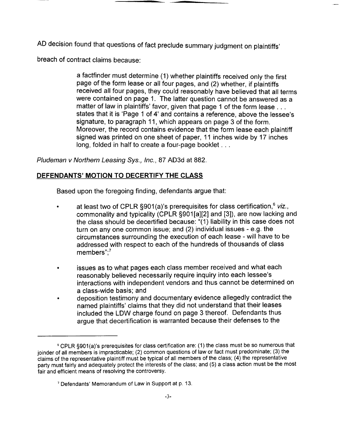AD decision found that questions of fact preclude summary judgment on plaintiffs'

breach of contract claims because:

a factfinder must determine (1) whether plaintiffs received only the first page of the form lease or all four pages, and (2) whether, if plaintiffs received all four pages, they could reasonably have believed that all terms were contained on page 1. The latter question cannot be answered as a matter of law in plaintiffs' favor, given that page 1 of the form lease ... states that it is 'Page 1 of 4' and contains a reference, above the lessee's signature, to paragraph 11, which appears on page 3 of the form. Moreover, the record contains evidence that the form lease each plaintiff signed was printed on one sheet of paper, 11 inches wide by 17 inches long, folded in half to create a four-page booklet ...

*Pludeman v Northern Leasing Sys., Inc.,* 87 AD 3d at 882.

## **DEFENDANTS' MOTION TO DECERTIFY THE CLASS**

Based upon the foregoing finding, defendants argue that:

- at least two of CPLR §901(a)'s prerequisites for class certification,<sup>6</sup> viz., commonality and typicality (CPLR S901[a][2] and [3]), are now lacking and the class should be decertified because: "(1) liability in this case does not turn on anyone common issue; and (2) individual issues - e.g. the circumstances surrounding the execution of each lease - will have to be addressed with respect to each of the hundreds of thousands of class members": $7$
- issues as to what pages each class member received and what each reasonably believed necessarily require inquiry into each lessee's interactions with independent vendors and thus cannot be determined on a class-wide basis; and
- deposition testimony and documentary evidence allegedly contradict the named plaintiffs' claims that they did not understand that their leases included the LDW charge found on page 3 thereof. Defendants thus argue that decertification is warranted because their defenses to the

<sup>&</sup>lt;sup>6</sup> CPLR §901(a)'s prerequisites for class certification are: (1) the class must be so numerous that joinder of all members is impracticable; (2) common questions of law or fact must predominate; (3) the claims of the representative plaintiff must be typical of all members of the class; (4) the representative party must fairly and adequately protect the interests of the class; and (5) a class action must be the most fair and efficient means of resolving the controversy.

<sup>7</sup> Defendants' Memorandum of Law in Support at p. 13.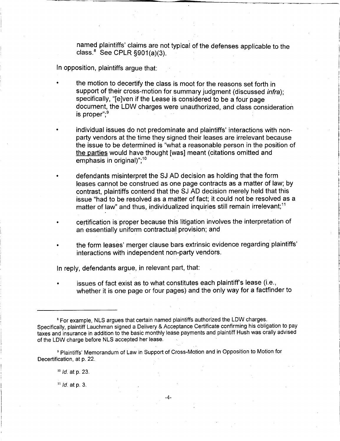named plaintiffs' claims are not typical of the defenses applicable to the class. $8$  See CPLR  $\S 901(a)(3)$ .

In opposition, plaintiffs argue that:

•

the motion to decertify the class is moot for the reasons set forth in support of their cross-motion for summary judgment (discussed *infra);* specifically, "[e]ven if the Lease is considered to be a four page document, the LDW charges were unauthorized, and class consideration is proper":<sup>9</sup>

• individual issues do not predominate and plaintiffs' interactions with nonparty vendors at the time they signed their leases are irrelevant because the issue to be determined is "what a reasonable person in the position of the parties would have thought [was] meant (citations omitted and emphasis in original)":<sup>10</sup>

• defendants misinterpret the SJ AD decision as holding that the form leases cannot be construed as one page contracts as a matter of law; by contrast, plaintiffs contend that the SJ AD decision merely held that this issue "had to be resolved as a matter of fact; it could not be resolved as a matter of law" and thus, individualized inquiries still remain irrelevant:<sup>11</sup>

- certification is proper because this litigation involves the interpretation of an essentially uniform contractual provision; and
- the form leases' merger clause bars extrinsic evidence regarding plaintiffs' interactions with independent non~party vendors.

In reply, defendants argue, in relevant part, that:

issues of fact exist as to what constitutes each plaintiff's lease (i.e., whether it is one page or four pages) and the only way for a factfinder to

<sup>9</sup> Plaintiffs' Memorandum of Law in Support of Cross-Motion and in Opposition to Motion for Decertification, at p. 22.

<sup>10</sup> *Id.* at p. 23.

<sup>11</sup> *Id.* at p. 3.

<sup>&</sup>lt;sup>8</sup> For example, NLS argues that certain named plaintiffs authorized the LDW charges. Specifically, plaintiff Lauchman signed a Delivery & Acceptance Certificate confirming his obligation to pay taxes and insurance in addition to the basic monthly lease payments and plaintiff Hush was orally advised of the LDW charge before NLS accepted her lease.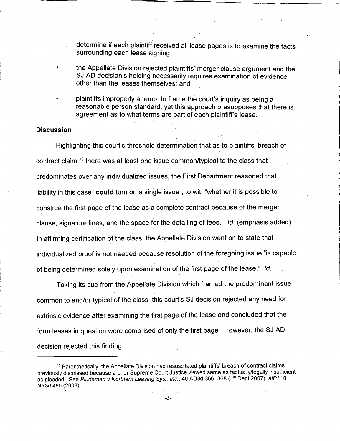determine if each plaintiff received all lease pages is to examine the facts surrounding each lease signing;

- the Appellate Division rejected plaintiffs' merger clause argument and the SJ AD decision's holding necessarily requires examination of evidence other than the leases themselves; and
- plaintiffs improperly attempt to frame the court's inquiry as being a reasonable person standard, yet this approach presupposes that there is agreement as to what terms are part of each plaintiff's lease.

## **Discussion**

•

•

Highlighting this court's threshold determination that as to plaintiffs' breach of contract claim,<sup>12</sup> there was at least one issue common/typical to the class that predominates over any individualized issues, the First Department reasoned that liability in this case "could turn on a single issue", to wit, "whether it is possible to construe the first page of the lease as a complete contract because of the merger clause, signature lines, and the space for the detailing of fees." *Id.* (emphasis added). In affirming certification of the class, the Appellate Division went on to state that individualized proof is not needed because resolution of the foregoing issue "is capable of being determined solely upon examination of the first page of the lease." *Id.*

Taking its cue from the Appellate Division which framed the predominant issue common to and/or typical of the class, this court's SJ decision rejected any need for extrinsic evidence after examining the first page of the lease and concluded that the form leases in question were comprised of only the first page. However, the SJ AD decision rejected this finding.

<sup>&</sup>lt;sup>12</sup> Parenthetically, the Appellate Division had resuscitated plaintiffs' breach of contract claims previously dismissed because a prior Supreme Court Justice viewed same as factually/legally insufficient as pleaded. See *P/udeman v Northern Leasing* Sys., *Inc.,* 40 AD 3d 366, 368 (1st Dept 2007), *aff'd 10* NY3d 485 (2008).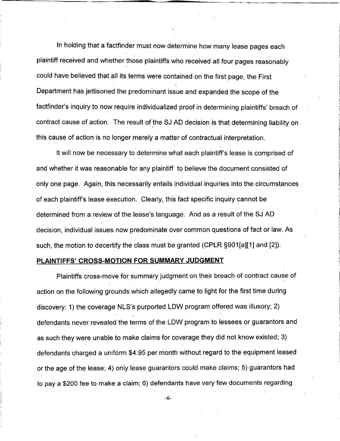In holding that a factfinder must now determine how many lease pages each plaintiff received and whether those plaintiffs who received all four pages reasonably could have believed that all its terms were contained on the first page, the First Department has jettisoned the predominant issue and expanded the scope of the factfinder's inquiry to now require individualized proof in determining plaintiffs' breach of contract cause of action. The result of the SJ AD decision is that determining liability on this cause of action is no longer merely a matter of contractual interpretation.

It will now be necessary to determine what each plaintiff's lease is comprised of and whether it was reasonable for any plaintiff to believe the document consisted of only one page. Again, this necessarily entails individual inquiries into the circumstances of each plaintiff's lease execution. Clearly, this fact specific inquiry cannot be determined from a review of the lease's language. And as a result of the SJ AD decision, individual issues now predominate over common questions of fact or law. As such, the motion to decertify the class must be granted (CPLR §901 [a][1] and [2]).

## **PLAINTIFFS' CROSS-MOTION FOR SUMMARY JUDGMENT**

Plaintiffs cross-move for summary judgment on their breach of contract cause of action on the following grounds which allegedly came to light for the first time during discovery: 1) the coverage NLS's purported LDW program offered was illusory; 2) defendants never revealed the terms of the LDW program to lessees or guarantors and as such they were unable to make claims for coverage they did not know existed; 3) defendants charged a uniform \$4.95 per month without regard to the equipment leased or the age of the lease; 4) only lease guarantors could make claims; 5) guarantors had to pay a \$200 fee to make a claim; 6) defendants have very few documents regarding

-6-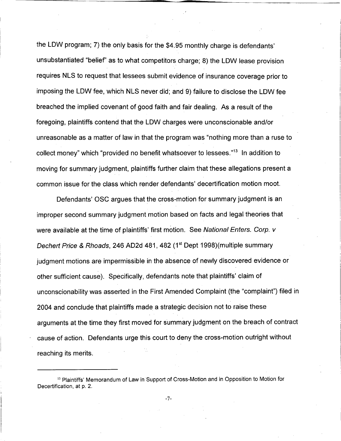the LOW program; 7) the only basis for the \$4.95 monthly charge is defendants' unsubstantiated "belief' as to what competitors charge; 8) the LOW lease provision requires NLS to request that lessees submit evidence of insurance coverage prior to imposing the LOW fee, which NLS never did; and 9) failure to disclose the LOW fee breached the implied covenant of good faith and fair dealing. As a result of the foregoing, plaintiffs contend that the LOW charges were unconscionable and/or unreasonable as a matter of law in that the program was "nothing more than a ruse to collect money" which "provided no benefit whatsoever to lessees."13 In addition to moving for summary judgment, plaintiffs further claim that these allegations present a common issue for the class which render defendants' decertification motion moot.

Defendants' OSC argues that the cross-motion for summary judgment is an improper second summary judgment motion based on facts and legal theories that were available at the time of plaintiffs' first motion. See *National Enters. Corp. v Dechert Price* & *Rhoads,* 246 AD2d 481, 482 (1st Dept 1998)(multiple summary judgment motions are impermissible in the absence of newly discovered evidence or other sufficient cause). Specifically, defendants note that plaintiffs' claim of unconscionability was asserted in the First Amended Complaint (the "complaint") filed in 2004 and conclude that plaintiffs made a strategic decision not to raise these arguments at the time they first moved for summary judgment on the breach of contract cause of action. Defendants urge this court to deny the cross-motion outright without reaching its merits.

-7-

<sup>&</sup>lt;sup>13</sup> Plaintiffs' Memorandum of Law in Support of Cross-Motion and in Opposition to Motion for Decertification, at p. 2.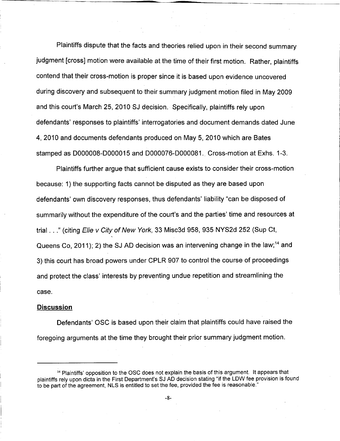Plaintiffs dispute that the facts and theories relied upon in their second summary judgment [cross] motion were available at the time of their first motion. Rather, plaintiffs contend that their cross-motion is proper since it is based upon evidence uncovered during discovery and subsequent to their summary judgment motion filed in May 2009 and this court's March 25, 2010 SJ decision. Specifically, plaintiffs rely upon defendants' responses to plaintiffs' interrogatories and document demands dated June 4, 2010 and documents defendants produced on May 5, 2010 which are Bates stamped as 0000008-0000015 and 0000076-0000081. Cross-motion at Exhs. 1-3.

Plaintiffs further argue that sufficient cause exists to consider their cross-motion because: 1) the supporting facts cannot be disputed as they are based upon defendants' own discovery responses, thus defendants' liability "can be disposed of summarily without the expenditure of the court's and the parties' time and resources at trial ... <sup>n</sup> (citing *Elie v City of New York,* 33 Misc3d 958, 935 NYS2d 252 (Sup Ct, Queens Co, 2011); 2) the SJ AD decision was an intervening change in the law;<sup>14</sup> and 3) this court has broad powers under CPLR 907 to control the course of proceedings and protect the class' interests by preventing undue repetition and streamlining the case.

## **Discussion**

Defendants' OSC is based upon their claim that plaintiffs could have raised the foregoing arguments at the time they brought their prior summary judgment motion.

<sup>&</sup>lt;sup>14</sup> Plaintiffs' opposition to the OSC does not explain the basis of this argument. It appears that plaintiffs rely upon dicta in the First Department's SJAD decision stating "if the LDW fee provision is found to be part of the agreement, NLS is entitled to set the fee, provided the fee is reasonable."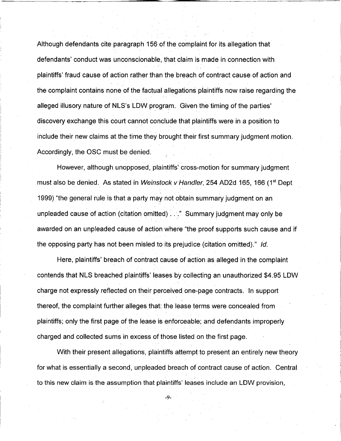Although defendants cite paragraph 156 of the complaint for its allegation that defendants' conduct was unconscionable, that claim is made in connection with plaintiffs' fraud cause of action rather than the breach of contract cause of action and the complaint contains none of the factual allegations plaintiffs now raise regarding the alleged illusory nature of NLS's LDW program. Given the timing of the parties' discovery exchange this court cannot conclude that plaintiffs were in a position to include their new claims at the time they brought their first summary judgment motion. Accordingly, the OSC must be denied.

However, although unopposed, plaintiffs' cross-motion for summary judgment must also be denied. As stated in *Weinstock v Handler,* 254A02d 165, 166 (1st Dept 1999) "the general rule is that a party may not obtain summary judgment on an unpleaded cause of action (citation omitted) ... " Summary judgment may only be awarded on an unpleaded cause of action where "the proof supports such cause and if the opposing party has not been misled to its prejudice (citation omitted)." *Id.*

Here, plaintiffs' breach of contract cause of action as alleged in the complaint contends that NLS breached plaintiffs' leases by collecting an unauthorized \$4.95 LOW charge not expressly reflected on their perceived one~page contracts. In support thereof, the complaint further alleges that: the lease terms were concealed from plaintiffs; only the first page of the lease is enforceable; and defendants improperly charged and collected sums in excess of those listed on the first page.

With their present allegations, plaintiffs attempt to present an entirely new theory for what is essentially a second, unpleaded breach of contract cause of action. Central .. to this new claim is the assumption that plaintiffs' leases include an LOW provision,

-9-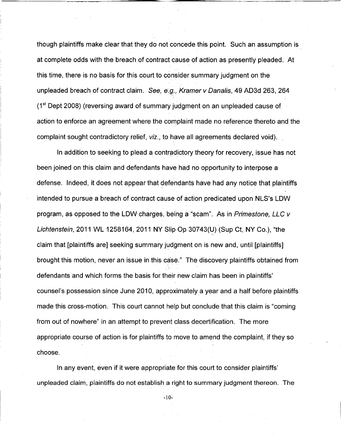though plaintiffs make clear that they do not concede this point. Such an assumption is . at complete odds with the breach of contract cause of action as presently pleaded. At this time, there is no basis for this court to consider summary judgment on the unpleaded breach of contract claim. *See, e:g;, Kramer* v *Danalis,* 49 AD3d 263, 264  $(1<sup>st</sup>$  Dept 2008) (reversing award of summary judgment on an unpleaded cause of action to enforce an agreement where the complaint made no reference thereto and the complaint sought contradictory relief, *viz.,* to have all agreements declared void) ..

In addition to seeking to plead a contradictory theory for recovery, issue has not been joined on this claim and defendants have had no opportunity to interpose a defense. Indeed, it does not appear that defendants have had any notice that plaintiffs intended to pursue a breach of contract cause of action predicated upon NLS's LOW program, as opposed to the LOW charges, being a "scam". As in *Primestone, LLC* v *Lichtenstein,* 2011 WL 1258164, 2011 NY Slip Op 30743(U) (Sup Ct, NY Co.), "the " claim that [plaintiffs are] seeking summary judgment on is new and, until [plaintiffs] brought this motion, never an issue in this ca'se." The discovery plaintiffs obtained from defendants and which forms the basis for their new claim has been in plaintiffs' counsel's possession since June 2010, approximately a year and <sup>a</sup> half before plaintiffs made this cross-motion. This court cannot help but conclude that this claim is "coming" from out of nowhere" in an attempt to prevent class decertification. The more appropriate course of action is for plaintiffs to move to amend the complaint, if they so choose.

In any event, even if it were appropriate for this court to consider plaintiffs' unpleaded claim, plaintiffs do not establish a right to summary judgment thereon. The

-10-